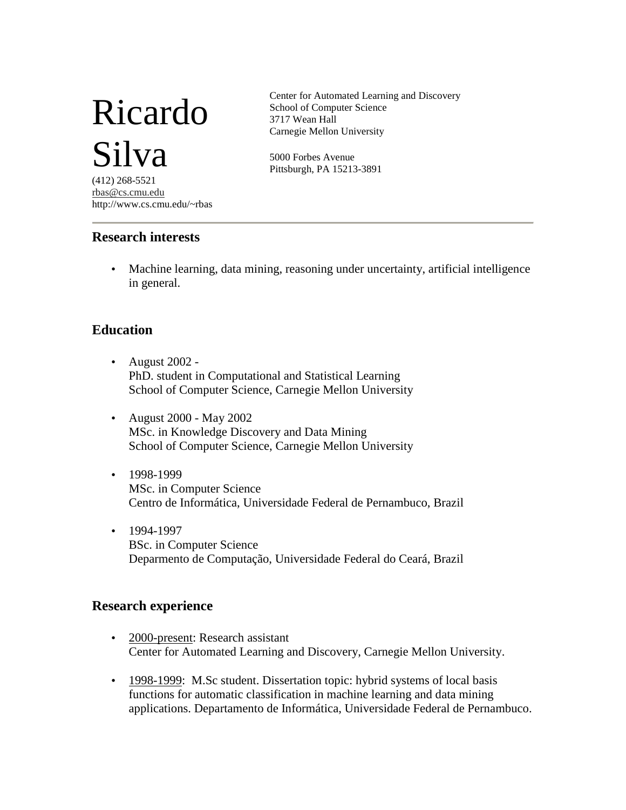# Ricardo Silva

(412) 268-5521 rbas@cs.cmu.edu http://www.cs.cmu.edu/~rbas

#### **Research interests**

Center for Automated Learning and Discovery School of Computer Science 3717 Wean Hall Carnegie Mellon University

5000 Forbes Avenue Pittsburgh, PA 15213-3891

• Machine learning, data mining, reasoning under uncertainty, artificial intelligence in general.

## **Education**

- August 2002 PhD. student in Computational and Statistical Learning School of Computer Science, Carnegie Mellon University
- August 2000 May 2002 MSc. in Knowledge Discovery and Data Mining School of Computer Science, Carnegie Mellon University
- 1998-1999 MSc. in Computer Science Centro de Informática, Universidade Federal de Pernambuco, Brazil
- 1994-1997 BSc. in Computer Science Deparmento de Computação, Universidade Federal do Ceará, Brazil

## **Research experience**

- 2000-present: Research assistant Center for Automated Learning and Discovery, Carnegie Mellon University.
- 1998-1999: M.Sc student. Dissertation topic: hybrid systems of local basis functions for automatic classification in machine learning and data mining applications. Departamento de Informática, Universidade Federal de Pernambuco.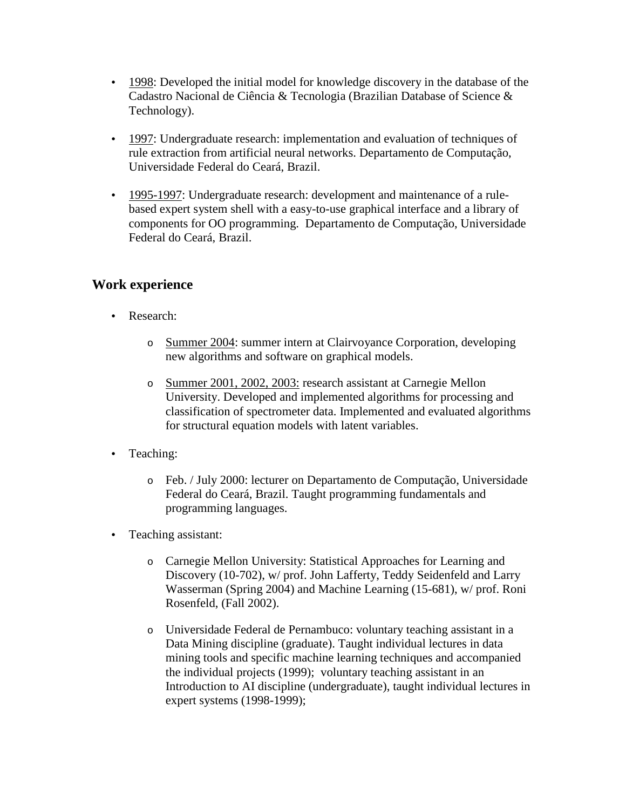- 1998: Developed the initial model for knowledge discovery in the database of the Cadastro Nacional de Ciência & Tecnologia (Brazilian Database of Science & Technology).
- 1997: Undergraduate research: implementation and evaluation of techniques of rule extraction from artificial neural networks. Departamento de Computação, Universidade Federal do Ceará, Brazil.
- 1995-1997: Undergraduate research: development and maintenance of a rulebased expert system shell with a easy-to-use graphical interface and a library of components for OO programming. Departamento de Computação, Universidade Federal do Ceará, Brazil.

# **Work experience**

- Research:
	- o Summer 2004: summer intern at Clairvoyance Corporation, developing new algorithms and software on graphical models.
	- o Summer 2001, 2002, 2003: research assistant at Carnegie Mellon University. Developed and implemented algorithms for processing and classification of spectrometer data. Implemented and evaluated algorithms for structural equation models with latent variables.
- Teaching:
	- o Feb. / July 2000: lecturer on Departamento de Computação, Universidade Federal do Ceará, Brazil. Taught programming fundamentals and programming languages.
- Teaching assistant:
	- o Carnegie Mellon University: Statistical Approaches for Learning and Discovery (10-702), w/ prof. John Lafferty, Teddy Seidenfeld and Larry Wasserman (Spring 2004) and Machine Learning (15-681), w/ prof. Roni Rosenfeld, (Fall 2002).
	- o Universidade Federal de Pernambuco: voluntary teaching assistant in a Data Mining discipline (graduate). Taught individual lectures in data mining tools and specific machine learning techniques and accompanied the individual projects (1999); voluntary teaching assistant in an Introduction to AI discipline (undergraduate), taught individual lectures in expert systems (1998-1999);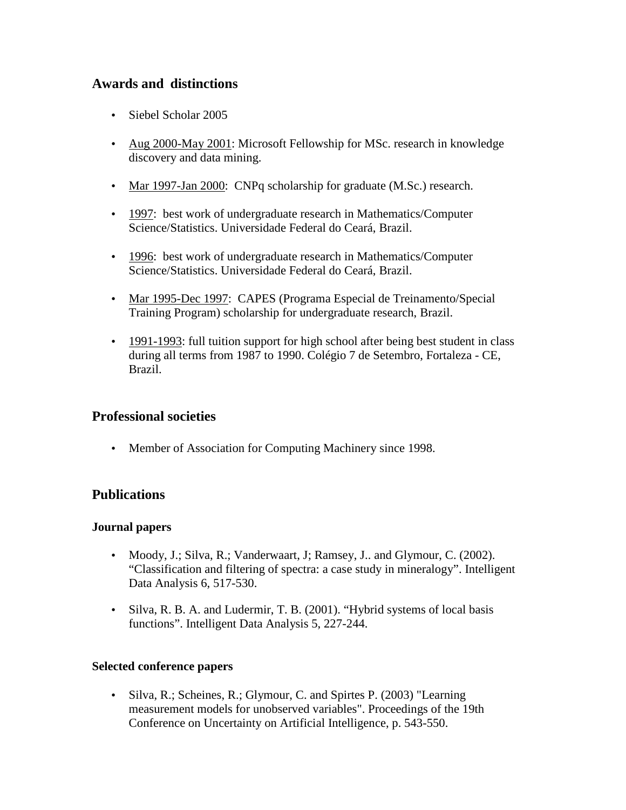# **Awards and distinctions**

- Siebel Scholar 2005
- Aug 2000-May 2001: Microsoft Fellowship for MSc. research in knowledge discovery and data mining.
- Mar 1997-Jan 2000: CNPq scholarship for graduate (M.Sc.) research.
- 1997: best work of undergraduate research in Mathematics/Computer Science/Statistics. Universidade Federal do Ceará, Brazil.
- 1996: best work of undergraduate research in Mathematics/Computer Science/Statistics. Universidade Federal do Ceará, Brazil.
- Mar 1995-Dec 1997: CAPES (Programa Especial de Treinamento/Special Training Program) scholarship for undergraduate research, Brazil.
- 1991-1993: full tuition support for high school after being best student in class during all terms from 1987 to 1990. Colégio 7 de Setembro, Fortaleza - CE, Brazil.

## **Professional societies**

• Member of Association for Computing Machinery since 1998.

## **Publications**

#### **Journal papers**

- Moody, J.; Silva, R.; Vanderwaart, J.; Ramsey, J.. and Glymour, C. (2002). "Classification and filtering of spectra: a case study in mineralogy". Intelligent Data Analysis 6, 517-530.
- Silva, R. B. A. and Ludermir, T. B. (2001). "Hybrid systems of local basis functions". Intelligent Data Analysis 5, 227-244.

#### **Selected conference papers**

• Silva, R.; Scheines, R.; Glymour, C. and Spirtes P. (2003) "Learning measurement models for unobserved variables". Proceedings of the 19th Conference on Uncertainty on Artificial Intelligence, p. 543-550.